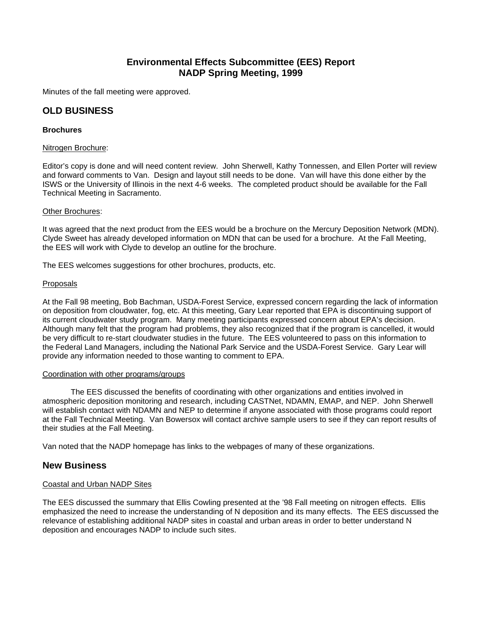# **Environmental Effects Subcommittee (EES) Report NADP Spring Meeting, 1999**

Minutes of the fall meeting were approved.

## **OLD BUSINESS**

## **Brochures**

#### Nitrogen Brochure:

Editor's copy is done and will need content review. John Sherwell, Kathy Tonnessen, and Ellen Porter will review and forward comments to Van. Design and layout still needs to be done. Van will have this done either by the ISWS or the University of Illinois in the next 4-6 weeks. The completed product should be available for the Fall Technical Meeting in Sacramento.

## Other Brochures:

It was agreed that the next product from the EES would be a brochure on the Mercury Deposition Network (MDN). Clyde Sweet has already developed information on MDN that can be used for a brochure. At the Fall Meeting, the EES will work with Clyde to develop an outline for the brochure.

The EES welcomes suggestions for other brochures, products, etc.

## Proposals

At the Fall 98 meeting, Bob Bachman, USDA-Forest Service, expressed concern regarding the lack of information on deposition from cloudwater, fog, etc. At this meeting, Gary Lear reported that EPA is discontinuing support of its current cloudwater study program. Many meeting participants expressed concern about EPA's decision. Although many felt that the program had problems, they also recognized that if the program is cancelled, it would be very difficult to re-start cloudwater studies in the future. The EES volunteered to pass on this information to the Federal Land Managers, including the National Park Service and the USDA-Forest Service. Gary Lear will provide any information needed to those wanting to comment to EPA.

#### Coordination with other programs/groups

The EES discussed the benefits of coordinating with other organizations and entities involved in atmospheric deposition monitoring and research, including CASTNet, NDAMN, EMAP, and NEP. John Sherwell will establish contact with NDAMN and NEP to determine if anyone associated with those programs could report at the Fall Technical Meeting. Van Bowersox will contact archive sample users to see if they can report results of their studies at the Fall Meeting.

Van noted that the NADP homepage has links to the webpages of many of these organizations.

## **New Business**

## Coastal and Urban NADP Sites

The EES discussed the summary that Ellis Cowling presented at the '98 Fall meeting on nitrogen effects. Ellis emphasized the need to increase the understanding of N deposition and its many effects. The EES discussed the relevance of establishing additional NADP sites in coastal and urban areas in order to better understand N deposition and encourages NADP to include such sites.